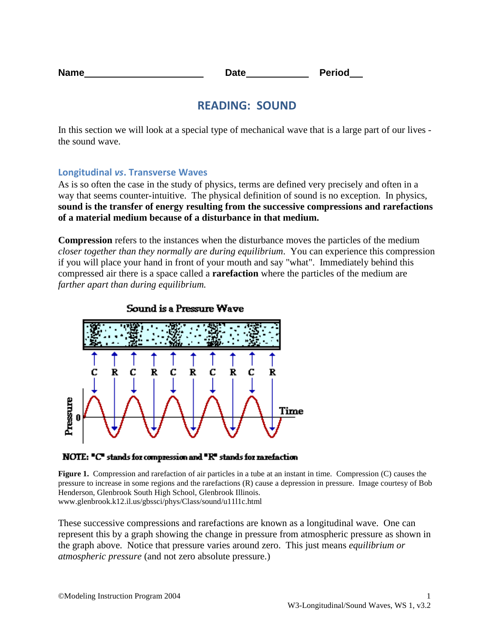| <b>Name</b> | Date | <b>Period</b> |
|-------------|------|---------------|
|             |      |               |

# **READING: SOUND**

In this section we will look at a special type of mechanical wave that is a large part of our lives the sound wave.

### **Longitudinal** *vs***. Transverse Waves**

As is so often the case in the study of physics, terms are defined very precisely and often in a way that seems counter-intuitive. The physical definition of sound is no exception. In physics, **sound is the transfer of energy resulting from the successive compressions and rarefactions of a material medium because of a disturbance in that medium.**

**Compression** refers to the instances when the disturbance moves the particles of the medium *closer together than they normally are during equilibrium*. You can experience this compression if you will place your hand in front of your mouth and say "what". Immediately behind this compressed air there is a space called a **rarefaction** where the particles of the medium are *farther apart than during equilibrium.*



Sound is a Pressure Wave

NOTE: "C" stands for compression and "R" stands for rarefaction

**Figure 1.** Compression and rarefaction of air particles in a tube at an instant in time. Compression (C) causes the pressure to increase in some regions and the rarefactions (R) cause a depression in pressure. Image courtesy of Bob Henderson, Glenbrook South High School, Glenbrook Illinois. www.glenbrook.k12.il.us/gbssci/phys/Class/sound/u11l1c.html

These successive compressions and rarefactions are known as a longitudinal wave. One can represent this by a graph showing the change in pressure from atmospheric pressure as shown in the graph above. Notice that pressure varies around zero. This just means *equilibrium or atmospheric pressure* (and not zero absolute pressure.)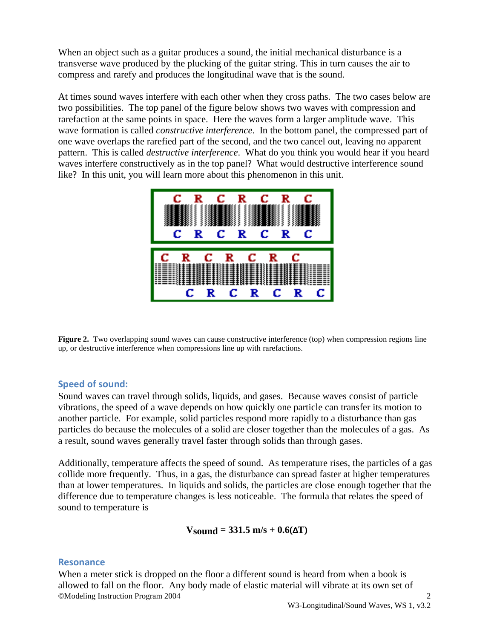When an object such as a guitar produces a sound, the initial mechanical disturbance is a transverse wave produced by the plucking of the guitar string. This in turn causes the air to compress and rarefy and produces the longitudinal wave that is the sound.

At times sound waves interfere with each other when they cross paths. The two cases below are two possibilities. The top panel of the figure below shows two waves with compression and rarefaction at the same points in space. Here the waves form a larger amplitude wave. This wave formation is called *constructive interference*. In the bottom panel, the compressed part of one wave overlaps the rarefied part of the second, and the two cancel out, leaving no apparent pattern. This is called *destructive interference*. What do you think you would hear if you heard waves interfere constructively as in the top panel? What would destructive interference sound like? In this unit, you will learn more about this phenomenon in this unit.



**Figure 2.** Two overlapping sound waves can cause constructive interference (top) when compression regions line up, or destructive interference when compressions line up with rarefactions.

## **Speed of sound:**

Sound waves can travel through solids, liquids, and gases. Because waves consist of particle vibrations, the speed of a wave depends on how quickly one particle can transfer its motion to another particle. For example, solid particles respond more rapidly to a disturbance than gas particles do because the molecules of a solid are closer together than the molecules of a gas. As a result, sound waves generally travel faster through solids than through gases.

Additionally, temperature affects the speed of sound. As temperature rises, the particles of a gas collide more frequently. Thus, in a gas, the disturbance can spread faster at higher temperatures than at lower temperatures. In liquids and solids, the particles are close enough together that the difference due to temperature changes is less noticeable. The formula that relates the speed of sound to temperature is

## $V_{\text{sound}} = 331.5 \text{ m/s} + 0.6(\Delta T)$

#### **Resonance**

When a meter stick is dropped on the floor a different sound is heard from when a book is allowed to fall on the floor. Any body made of elastic material will vibrate at its own set of ©Modeling Instruction Program 2004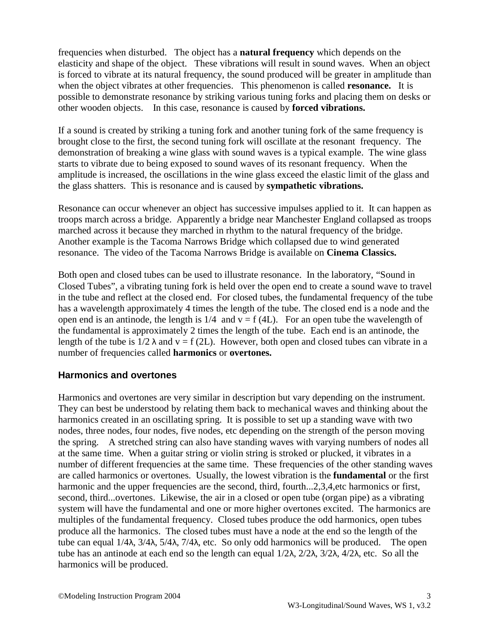frequencies when disturbed. The object has a **natural frequency** which depends on the elasticity and shape of the object. These vibrations will result in sound waves. When an object is forced to vibrate at its natural frequency, the sound produced will be greater in amplitude than when the object vibrates at other frequencies. This phenomenon is called **resonance.** It is possible to demonstrate resonance by striking various tuning forks and placing them on desks or other wooden objects. In this case, resonance is caused by **forced vibrations.**

If a sound is created by striking a tuning fork and another tuning fork of the same frequency is brought close to the first, the second tuning fork will oscillate at the resonant frequency. The demonstration of breaking a wine glass with sound waves is a typical example. The wine glass starts to vibrate due to being exposed to sound waves of its resonant frequency. When the amplitude is increased, the oscillations in the wine glass exceed the elastic limit of the glass and the glass shatters. This is resonance and is caused by **sympathetic vibrations.**

Resonance can occur whenever an object has successive impulses applied to it. It can happen as troops march across a bridge. Apparently a bridge near Manchester England collapsed as troops marched across it because they marched in rhythm to the natural frequency of the bridge. Another example is the Tacoma Narrows Bridge which collapsed due to wind generated resonance. The video of the Tacoma Narrows Bridge is available on **Cinema Classics.**

Both open and closed tubes can be used to illustrate resonance. In the laboratory, "Sound in Closed Tubes", a vibrating tuning fork is held over the open end to create a sound wave to travel in the tube and reflect at the closed end. For closed tubes, the fundamental frequency of the tube has a wavelength approximately 4 times the length of the tube. The closed end is a node and the open end is an antinode, the length is  $1/4$  and  $v = f(4L)$ . For an open tube the wavelength of the fundamental is approximately 2 times the length of the tube. Each end is an antinode, the length of the tube is  $1/2 \lambda$  and  $v = f(2L)$ . However, both open and closed tubes can vibrate in a number of frequencies called **harmonics** or **overtones.**

## **Harmonics and overtones**

Harmonics and overtones are very similar in description but vary depending on the instrument. They can best be understood by relating them back to mechanical waves and thinking about the harmonics created in an oscillating spring. It is possible to set up a standing wave with two nodes, three nodes, four nodes, five nodes, etc depending on the strength of the person moving the spring. A stretched string can also have standing waves with varying numbers of nodes all at the same time. When a guitar string or violin string is stroked or plucked, it vibrates in a number of different frequencies at the same time. These frequencies of the other standing waves are called harmonics or overtones. Usually, the lowest vibration is the **fundamental** or the first harmonic and the upper frequencies are the second, third, fourth...2,3,4,etc harmonics or first, second, third...overtones. Likewise, the air in a closed or open tube (organ pipe) as a vibrating system will have the fundamental and one or more higher overtones excited. The harmonics are multiples of the fundamental frequency. Closed tubes produce the odd harmonics, open tubes produce all the harmonics. The closed tubes must have a node at the end so the length of the tube can equal 1/4λ, 3/4λ, 5/4λ, 7/4λ, etc. So only odd harmonics will be produced. The open tube has an antinode at each end so the length can equal 1/2λ, 2/2λ, 3/2λ, 4/2λ, etc. So all the harmonics will be produced.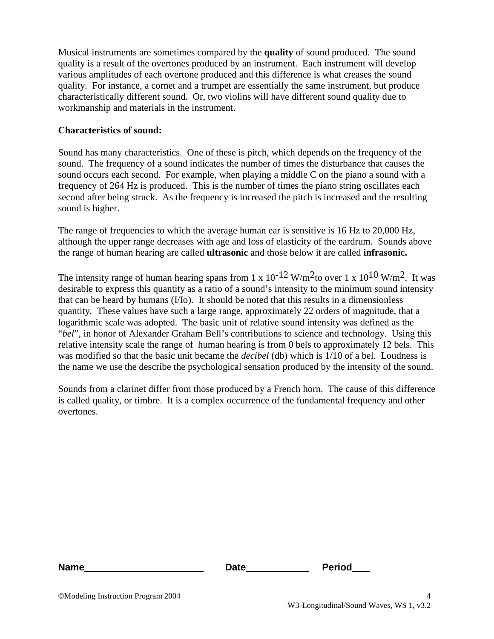Musical instruments are sometimes compared by the **quality** of sound produced. The sound quality is a result of the overtones produced by an instrument. Each instrument will develop various amplitudes of each overtone produced and this difference is what creases the sound quality. For instance, a cornet and a trumpet are essentially the same instrument, but produce characteristically different sound. Or, two violins will have different sound quality due to workmanship and materials in the instrument.

### **Characteristics of sound:**

Sound has many characteristics. One of these is pitch, which depends on the frequency of the sound. The frequency of a sound indicates the number of times the disturbance that causes the sound occurs each second. For example, when playing a middle C on the piano a sound with a frequency of 264 Hz is produced. This is the number of times the piano string oscillates each second after being struck. As the frequency is increased the pitch is increased and the resulting sound is higher.

The range of frequencies to which the average human ear is sensitive is 16 Hz to 20,000 Hz, although the upper range decreases with age and loss of elasticity of the eardrum. Sounds above the range of human hearing are called **ultrasonic** and those below it are called **infrasonic.** 

The intensity range of human hearing spans from 1 x  $10^{-12}$  W/m<sup>2</sup>to over 1 x  $10^{10}$  W/m<sup>2</sup>. It was desirable to express this quantity as a ratio of a sound's intensity to the minimum sound intensity that can be heard by humans (I/Io). It should be noted that this results in a dimensionless quantity. These values have such a large range, approximately 22 orders of magnitude, that a logarithmic scale was adopted. The basic unit of relative sound intensity was defined as the "*bel*", in honor of Alexander Graham Bell's contributions to science and technology. Using this relative intensity scale the range of human hearing is from 0 bels to approximately 12 bels. This was modified so that the basic unit became the *decibel* (db) which is 1/10 of a bel. Loudness is the name we use the describe the psychological sensation produced by the intensity of the sound.

Sounds from a clarinet differ from those produced by a French horn. The cause of this difference is called quality, or timbre. It is a complex occurrence of the fundamental frequency and other overtones.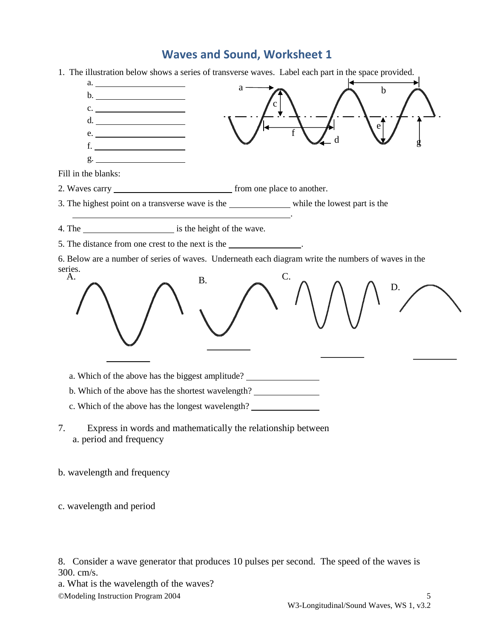# **Waves and Sound, Worksheet 1**



b. wavelength and frequency

c. wavelength and period

8. Consider a wave generator that produces 10 pulses per second. The speed of the waves is 300. cm/s.

a. What is the wavelength of the waves? ©Modeling Instruction Program 2004 5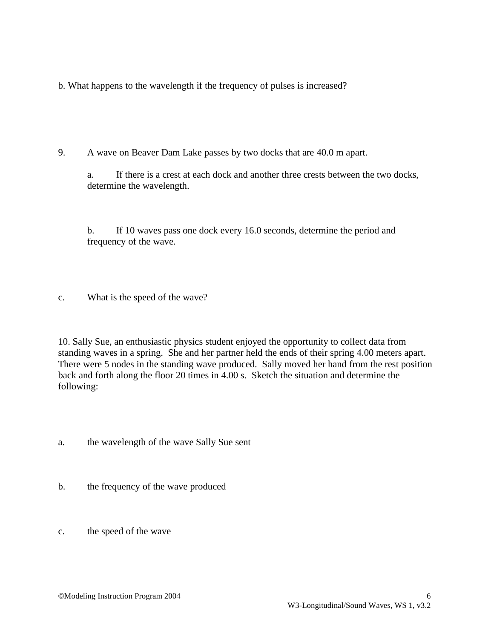b. What happens to the wavelength if the frequency of pulses is increased?

9. A wave on Beaver Dam Lake passes by two docks that are 40.0 m apart.

a. If there is a crest at each dock and another three crests between the two docks, determine the wavelength.

b. If 10 waves pass one dock every 16.0 seconds, determine the period and frequency of the wave.

c. What is the speed of the wave?

10. Sally Sue, an enthusiastic physics student enjoyed the opportunity to collect data from standing waves in a spring. She and her partner held the ends of their spring 4.00 meters apart. There were 5 nodes in the standing wave produced. Sally moved her hand from the rest position back and forth along the floor 20 times in 4.00 s. Sketch the situation and determine the following:

- a. the wavelength of the wave Sally Sue sent
- b. the frequency of the wave produced
- c. the speed of the wave